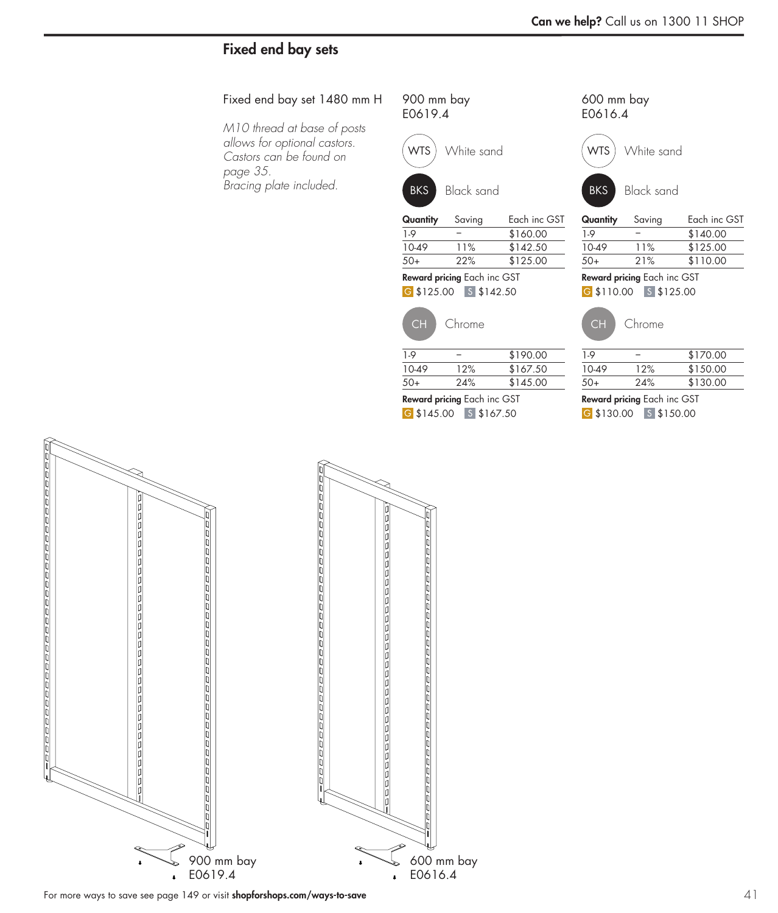# Fixed end bay sets

#### Fixed end bay set 1480 mm H

*M10 thread at base of posts allows for optional castors. Castors can be found on page 35. Bracing plate included.*

| 900 mm bay |  |
|------------|--|
| E0619.4    |  |





| Quantity | Saving | Each inc GST |
|----------|--------|--------------|
| 1.9      |        | \$170.00     |
| 10-49    | 10%    | \$152.50     |
| 50+      | 20%    | \$135.00     |
|          |        |              |

G \$135.00 S \$152.50 Reward pricing Each inc GST

|  |  | . . |  |  |  |
|--|--|-----|--|--|--|
|  |  |     |  |  |  |
|  |  |     |  |  |  |
|  |  |     |  |  |  |
|  |  |     |  |  |  |
|  |  |     |  |  |  |
|  |  |     |  |  |  |

CH Chrome

| $1-9$ | \$200.00 | 1.9   |     |
|-------|----------|-------|-----|
| 10-49 | \$177.50 | 10-49 | 11% |
| $50+$ | \$155.00 | $50+$ | 22% |
|       |          |       |     |

G \$155.00 S \$177.50 Reward pricing Each inc GST

| E0616.4 |                   |
|---------|-------------------|
|         | WTS) White sand   |
| BKS )   | <b>Black sand</b> |
|         |                   |

600 mm bay

| Quantity                           | Saving | Each inc GST |  |
|------------------------------------|--------|--------------|--|
| 1.9                                |        | \$150.00     |  |
| 10-49                              | 10%    | \$135.00     |  |
| 50+                                | 20%    | \$120.00     |  |
| <b>Doward pricing Each inc CST</b> |        |              |  |

G \$120.00 S \$135.00 **Reward pricing** Each inc GST



| $50+$ | 22% | \$140.00 |
|-------|-----|----------|
| 10-49 | 11% | \$160.00 |
| 1-9   |     | \$180.00 |

G \$140.00 S \$160.00 Reward pricing Each inc GST





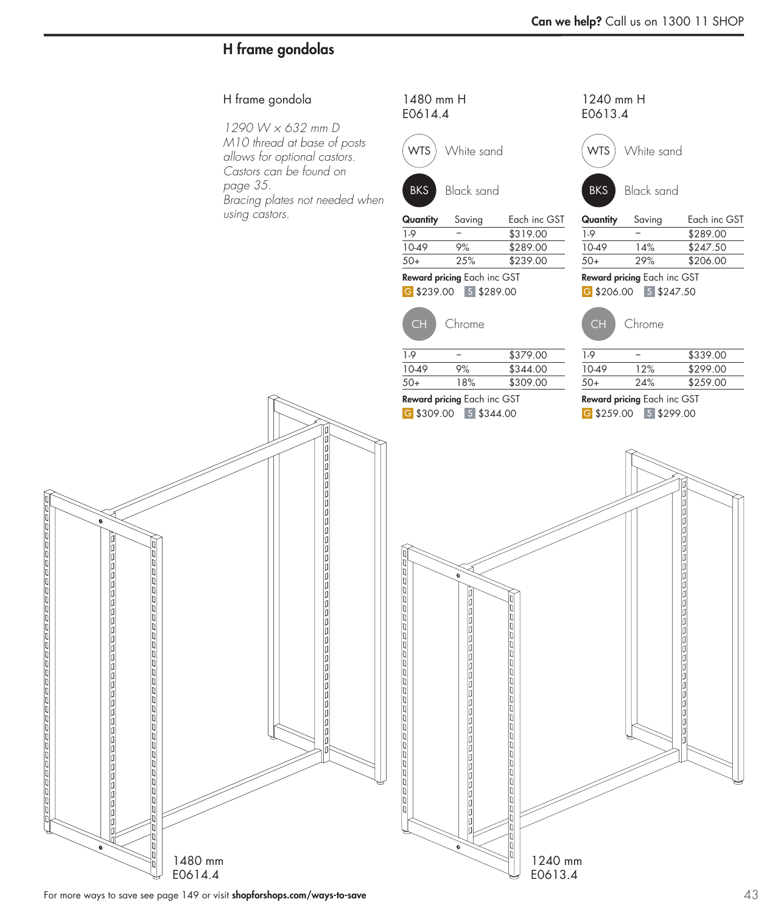# H frame gondolas

## H frame gondola

*1290 W × 632 mm D M10 thread at base of posts allows for optional castors. Castors can be found on page 35. Bracing plates not needed when using castors.*

1480 mm H E0614.4





| Quantity | Saving | Each inc GST |
|----------|--------|--------------|
| 1.9      |        | \$329.00     |
| 10-49    | 12%    | \$289.00     |
| 50+      | 24%    | \$249.00     |
|          |        |              |

G \$249.00 S \$289.00 Reward pricing Each inc GST

CH Chrome

1240 mm H E0613.4





Quantity Saving Each inc GST

| $1-9$                              |     | \$299.00 |  |
|------------------------------------|-----|----------|--|
| $10-49$                            | 13% | \$259.50 |  |
| $50+$                              | 26% | \$220.00 |  |
| <b>Reward pricing Each inc GST</b> |     |          |  |

G \$220.00 S \$259.50



| 1-9   |     | \$349.00 |
|-------|-----|----------|
| 10-49 | 11% | \$309.00 |
| 50+   | 22% | \$269.00 |
|       |     |          |

G \$319.00 \ S \$354.00 Reward pricing Each inc GST

 $\frac{1.9}{10.49}$  – \$389.00<br>10.49 9% \$354.00

\$319.00







1240 mm E0613.4